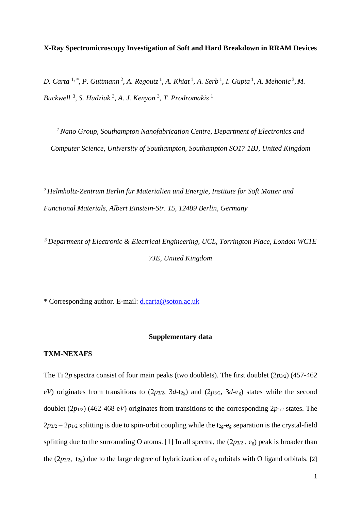**X-Ray Spectromicroscopy Investigation of Soft and Hard Breakdown in RRAM Devices** 

*D. Carta* <sup>1, \*</sup>, *P. Guttmann*<sup>2</sup>, *A. Regoutz*<sup>1</sup>, *A. Khiat*<sup>1</sup>, *A. Serb*<sup>1</sup>, *I. Gupta*<sup>1</sup>, *A. Mehonic*<sup>3</sup>, *M. Buckwell* <sup>3</sup> *, S. Hudziak* <sup>3</sup> *, A. J. Kenyon* <sup>3</sup> *, T. Prodromakis* <sup>1</sup>

*<sup>1</sup> Nano Group, Southampton Nanofabrication Centre, Department of Electronics and Computer Science, University of Southampton, Southampton SO17 1BJ, United Kingdom*

*<sup>2</sup> Helmholtz-Zentrum Berlin für Materialien und Energie, Institute for Soft Matter and Functional Materials, Albert Einstein-Str. 15, 12489 Berlin, Germany*

*<sup>3</sup>Department of Electronic & Electrical Engineering, UCL, Torrington Place, London WC1E 7JE, United Kingdom*

\* Corresponding author. E-mail: [d.carta@soton.ac.uk](mailto:d.carta@soton.ac.uk)

## **Supplementary data**

#### **TXM-NEXAFS**

The Ti  $2p$  spectra consist of four main peaks (two doublets). The first doublet  $(2p_{3/2})$  (457-462) e*V*) originates from transitions to  $(2p_{3/2}, 3d-t_{2g})$  and  $(2p_{3/2}, 3d-e_g)$  states while the second doublet (2*p*1/2) (462-468 e*V*) originates from transitions to the corresponding 2*p*1/2 states. The  $2p_{3/2} - 2p_{1/2}$  splitting is due to spin-orbit coupling while the t<sub>2g</sub>-e<sub>g</sub> separation is the crystal-field splitting due to the surrounding O atoms. [1] In all spectra, the  $(2p_{3/2}, e_g)$  peak is broader than the ( $2p_{3/2}$ ,  $t_{2g}$ ) due to the large degree of hybridization of  $e_g$  orbitals with O ligand orbitals. [2]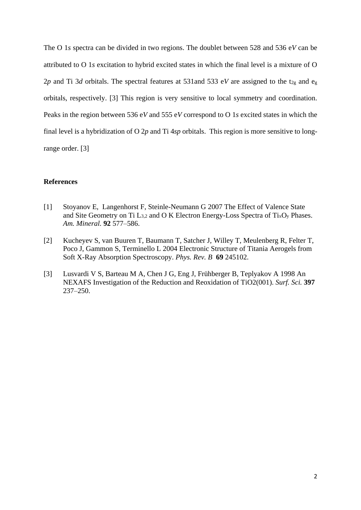The O 1*s* spectra can be divided in two regions. The doublet between 528 and 536 e*V* can be attributed to O 1*s* excitation to hybrid excited states in which the final level is a mixture of O 2*p* and Ti 3*d* orbitals. The spectral features at 531 and 533 eV are assigned to the t<sub>2g</sub> and e<sub>g</sub> orbitals, respectively. [3] This region is very sensitive to local symmetry and coordination. Peaks in the region between 536 e*V* and 555 e*V* correspond to O 1*s* excited states in which the final level is a hybridization of O 2*p* and Ti 4*sp* orbitals. This region is more sensitive to longrange order. [3]

### **References**

- [1] Stoyanov E, Langenhorst F, Steinle-Neumann G 2007 The Effect of Valence State and Site Geometry on Ti  $L_{3,2}$  and O K Electron Energy-Loss Spectra of Ti<sub>x</sub>O<sub>y</sub> Phases. *Am. Mineral.* **92** 577–586.
- [2] Kucheyev S, van Buuren T, Baumann T, Satcher J, Willey T, Meulenberg R, Felter T, Poco J, Gammon S, Terminello L 2004 Electronic Structure of Titania Aerogels from Soft X-Ray Absorption Spectroscopy. *Phys. Rev. B* **69** 245102.
- [3] Lusvardi V S, Barteau M A, Chen J G, Eng J, Frühberger B, Teplyakov A 1998 An NEXAFS Investigation of the Reduction and Reoxidation of TiO2(001). *Surf. Sci.* **397** 237–250.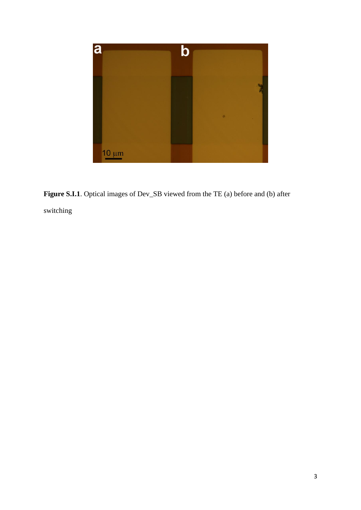

**Figure S.I.1**. Optical images of Dev\_SB viewed from the TE (a) before and (b) after switching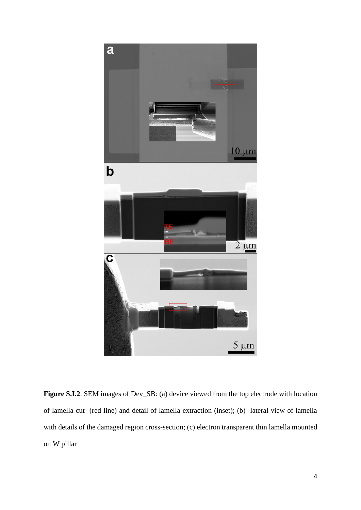

**Figure S.I.2.** SEM images of Dev<sub>\_SB</sub>: (a) device viewed from the top electrode with location of lamella cut (red line) and detail of lamella extraction (inset); (b) lateral view of lamella with details of the damaged region cross-section; (c) electron transparent thin lamella mounted on W pillar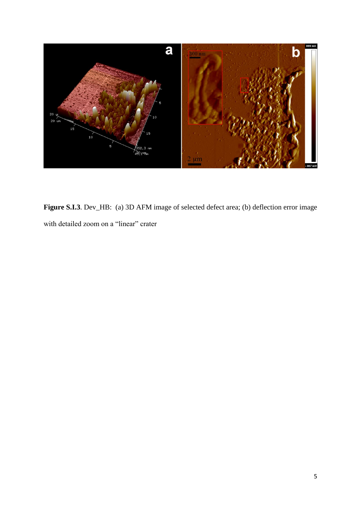

Figure S.I.3. Dev\_HB: (a) 3D AFM image of selected defect area; (b) deflection error image with detailed zoom on a "linear" crater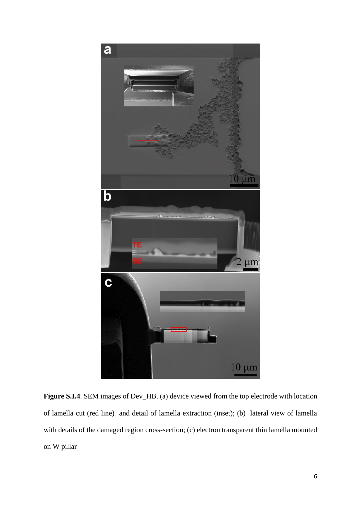

Figure S.I.4. SEM images of Dev<sub>\_HB</sub>. (a) device viewed from the top electrode with location of lamella cut (red line) and detail of lamella extraction (inset); (b) lateral view of lamella with details of the damaged region cross-section; (c) electron transparent thin lamella mounted on W pillar